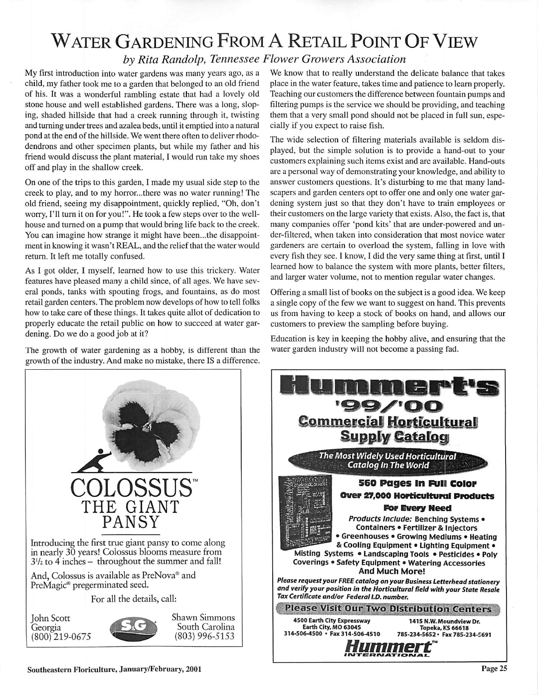## Water Gardening From <sup>A</sup> Retail Point Of View

## **by Rita Randolp, Tennessee Flower Growers Association**

My first introduction into water gardens was many years ago, as a child, my father took me to a garden that belonged to an old friend of his. It was a wonderful rambling estate that had a lovely old stone house and well established gardens. There was a long, slop ing, shaded hillside that had a creek running through it, twisting and turning under trees and azalea beds, until it emptied into a natural pond at the end of the hillside. We went there often to deliver rhodo dendrons and other specimen plants, but while my father and his friend would discuss the plant material, I would run take my shoes off and play in the shallow creek.

On one of the trips to this garden, I made my usual side step to the creek to play, and to my horror...there was no water running! The old friend, seeing my disappointment, quickly replied, "Oh, don't worry, I'll turn it on for you!". He took a few steps over to the wellhouse and turned on a pump that would bring life back to the creek. You can imagine how strange it might have been...the disappoint ment in knowing it wasn't REAL, and the relief that the water would return. It left me totally confused.

As I got older, I myself, learned how to use this trickery. Water features have pleased many a child since, of all ages. We have sev eral ponds, tanks with spouting frogs, and fountains, as do most retail garden centers. The problem now develops of how to tell folks how to take care of these things. It takes quite allot of dedication to properly educate the retail public on how to succeed at water gar dening. Do we do a good job at it?

The growth of water gardening as a hobby, is different than the growth of the industry. And make no mistake, there IS a difference.



The wide selection of filtering materials available is seldom dis played, but the simple solution is to provide a hand-out to your customers explaining such items exist and are available. Hand-outs are a personal way of demonstrating your knowledge, and ability to answer customers questions. It's disturbing to me that many land scapes and garden centers opt to offer one and only one water gar dening system just so that they don't have to train employees or their customers on the large variety that exists. Also, the fact is, that many companies offer 'pond kits' that are under-powered and un der-filtered, when taken into consideration that most novice water gardeners are certain to overload the system, falling in love with every fish they see. I know, I did the very same thing at first, until I learned how to balance the system with more plants, better filters, and larger water volume, not to mention regular water changes.

Offering a small list of books on the subject is a good idea. We keep a single copy of the few we want to suggest on hand. This prevents us from having to keep a stock of books on hand, and allows our customers to preview the sampling before buying.

Education is key in keeping the hobby alive, and ensuring that the water garden industry will not become a passing fad.



**Commercial Horticultural<br>Supply Catalogy** *The Most Widely Used Horticultural Catalog In The World 560 Pages in rjiii color Over 27,000 Horticultural Products For Every Need* **Products Include:** Benching Systems • Containers • Fertilizer & Injectors • Greenhouses • Growing Mediums • Heating &Cooling Equipment • Lighting Equipment • Misting Systems • Landscaping Tools • Pesticides • Poly Coverings • Safety Equipment • Watering Accessories And Much More! *Please requestyourFREE catalogonyourBusiness Letterhead stationery and verify your position in the Horticultural field with your State Resale* Please Visit Our Two Distribution Centers *1415 N.W.MoundviewDr. Topeka,KS 66618 785-234-5652 • Fax 785-234-5691*